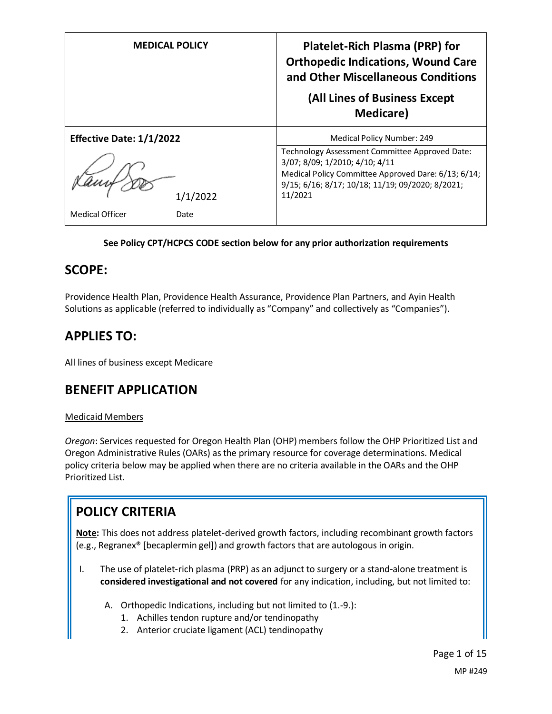| <b>MEDICAL POLICY</b>                      | <b>Platelet-Rich Plasma (PRP) for</b><br><b>Orthopedic Indications, Wound Care</b><br>and Other Miscellaneous Conditions<br>(All Lines of Business Except<br><b>Medicare</b> )                         |
|--------------------------------------------|--------------------------------------------------------------------------------------------------------------------------------------------------------------------------------------------------------|
| <b>Effective Date: 1/1/2022</b>            | Medical Policy Number: 249                                                                                                                                                                             |
| 1/1/2022<br><b>Medical Officer</b><br>Date | Technology Assessment Committee Approved Date:<br>3/07; 8/09; 1/2010; 4/10; 4/11<br>Medical Policy Committee Approved Dare: 6/13; 6/14;<br>9/15; 6/16; 8/17; 10/18; 11/19; 09/2020; 8/2021;<br>11/2021 |

### **See Policy CPT/HCPCS CODE section below for any prior authorization requirements**

## **SCOPE:**

Providence Health Plan, Providence Health Assurance, Providence Plan Partners, and Ayin Health Solutions as applicable (referred to individually as "Company" and collectively as "Companies").

# **APPLIES TO:**

All lines of business except Medicare

# **BENEFIT APPLICATION**

### Medicaid Members

*Oregon*: Services requested for Oregon Health Plan (OHP) members follow the OHP Prioritized List and Oregon Administrative Rules (OARs) as the primary resource for coverage determinations. Medical policy criteria below may be applied when there are no criteria available in the OARs and the OHP Prioritized List.

# **POLICY CRITERIA**

**Note:** This does not address platelet-derived growth factors, including recombinant growth factors (e.g., Regranex® [becaplermin gel]) and growth factors that are autologous in origin.

- I. The use of platelet-rich plasma (PRP) as an adjunct to surgery or a stand-alone treatment is **considered investigational and not covered** for any indication, including, but not limited to:
	- A. Orthopedic Indications, including but not limited to (1.-9.):
		- 1. Achilles tendon rupture and/or tendinopathy
		- 2. Anterior cruciate ligament (ACL) tendinopathy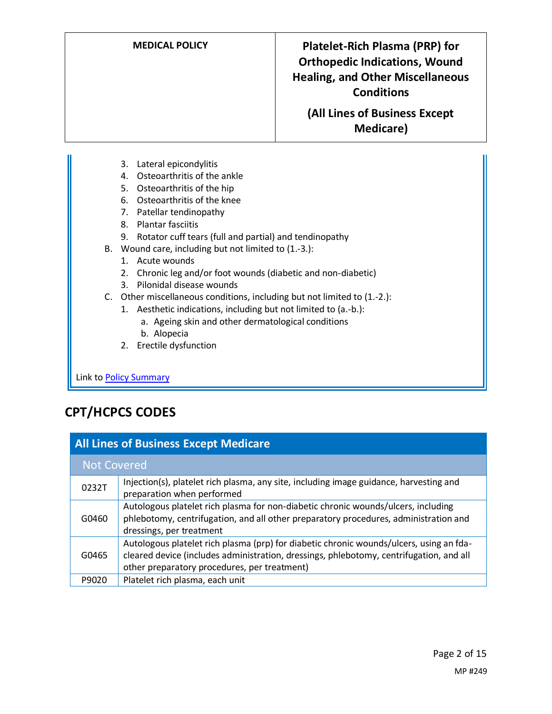**MEDICAL POLICY Platelet-Rich Plasma (PRP) for Orthopedic Indications, Wound Healing, and Other Miscellaneous Conditions**

> **(All Lines of Business Except Medicare)**

- 3. Lateral epicondylitis
- 4. Osteoarthritis of the ankle
- 5. Osteoarthritis of the hip
- 6. Osteoarthritis of the knee
- 7. Patellar tendinopathy
- 8. Plantar fasciitis
- 9. Rotator cuff tears (full and partial) and tendinopathy
- B. Wound care, including but not limited to (1.-3.):
	- 1. Acute wounds
	- 2. Chronic leg and/or foot wounds (diabetic and non-diabetic)
	- 3. Pilonidal disease wounds
- C. Other miscellaneous conditions, including but not limited to (1.-2.):
	- 1. Aesthetic indications, including but not limited to (a.-b.):
		- a. Ageing skin and other dermatological conditions
		- b. Alopecia
	- 2. Erectile dysfunction

Link t[o Policy Summary](#page-7-0)

# **CPT/HCPCS CODES**

| <b>All Lines of Business Except Medicare</b> |                                                                                                                                                                                                                                    |  |  |
|----------------------------------------------|------------------------------------------------------------------------------------------------------------------------------------------------------------------------------------------------------------------------------------|--|--|
| <b>Not Covered</b>                           |                                                                                                                                                                                                                                    |  |  |
| 0232T                                        | Injection(s), platelet rich plasma, any site, including image guidance, harvesting and<br>preparation when performed                                                                                                               |  |  |
| G0460                                        | Autologous platelet rich plasma for non-diabetic chronic wounds/ulcers, including<br>phlebotomy, centrifugation, and all other preparatory procedures, administration and<br>dressings, per treatment                              |  |  |
| G0465                                        | Autologous platelet rich plasma (prp) for diabetic chronic wounds/ulcers, using an fda-<br>cleared device (includes administration, dressings, phlebotomy, centrifugation, and all<br>other preparatory procedures, per treatment) |  |  |
| P9020                                        | Platelet rich plasma, each unit                                                                                                                                                                                                    |  |  |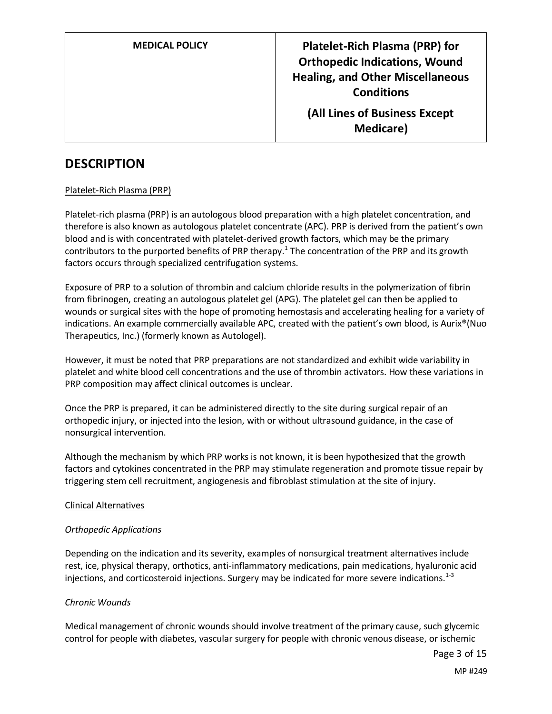# **DESCRIPTION**

#### Platelet-Rich Plasma (PRP)

Platelet-rich plasma (PRP) is an autologous blood preparation with a high platelet concentration, and therefore is also known as autologous platelet concentrate (APC). PRP is derived from the patient's own blood and is with concentrated with platelet-derived growth factors, which may be the primary contributors to the purported benefits of PRP therapy.<sup>1</sup> The concentration of the PRP and its growth factors occurs through specialized centrifugation systems.

Exposure of PRP to a solution of thrombin and calcium chloride results in the polymerization of fibrin from fibrinogen, creating an autologous platelet gel (APG). The platelet gel can then be applied to wounds or surgical sites with the hope of promoting hemostasis and accelerating healing for a variety of indications. An example commercially available APC, created with the patient's own blood, is Aurix®(Nuo Therapeutics, Inc.) (formerly known as Autologel).

However, it must be noted that PRP preparations are not standardized and exhibit wide variability in platelet and white blood cell concentrations and the use of thrombin activators. How these variations in PRP composition may affect clinical outcomes is unclear.

Once the PRP is prepared, it can be administered directly to the site during surgical repair of an orthopedic injury, or injected into the lesion, with or without ultrasound guidance, in the case of nonsurgical intervention.

Although the mechanism by which PRP works is not known, it is been hypothesized that the growth factors and cytokines concentrated in the PRP may stimulate regeneration and promote tissue repair by triggering stem cell recruitment, angiogenesis and fibroblast stimulation at the site of injury.

#### Clinical Alternatives

#### *Orthopedic Applications*

Depending on the indication and its severity, examples of nonsurgical treatment alternatives include rest, ice, physical therapy, orthotics, anti-inflammatory medications, pain medications, hyaluronic acid injections, and corticosteroid injections. Surgery may be indicated for more severe indications. $1-3$ 

#### *Chronic Wounds*

Medical management of chronic wounds should involve treatment of the primary cause, such glycemic control for people with diabetes, vascular surgery for people with chronic venous disease, or ischemic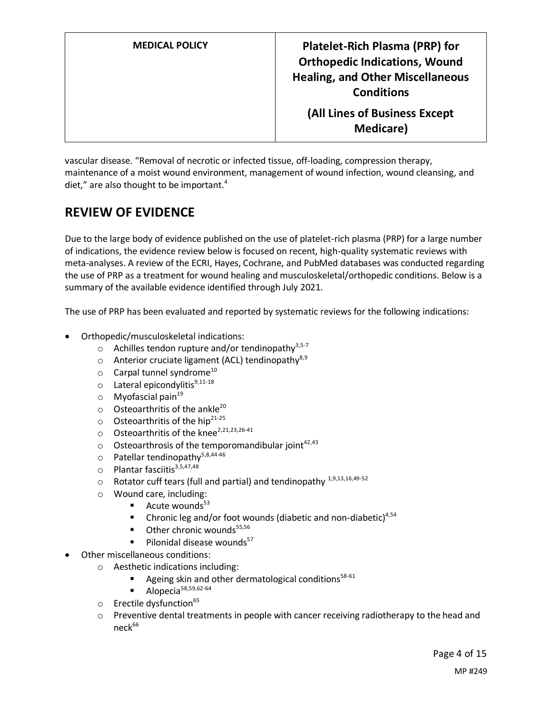vascular disease. "Removal of necrotic or infected tissue, off‐loading, compression therapy, maintenance of a moist wound environment, management of wound infection, wound cleansing, and diet," are also thought to be important.<sup>4</sup>

# **REVIEW OF EVIDENCE**

Due to the large body of evidence published on the use of platelet-rich plasma (PRP) for a large number of indications, the evidence review below is focused on recent, high-quality systematic reviews with meta-analyses. A review of the ECRI, Hayes, Cochrane, and PubMed databases was conducted regarding the use of PRP as a treatment for wound healing and musculoskeletal/orthopedic conditions. Below is a summary of the available evidence identified through July 2021.

The use of PRP has been evaluated and reported by systematic reviews for the following indications:

- Orthopedic/musculoskeletal indications:
	- $\circ$  Achilles tendon rupture and/or tendinopathy<sup>3,5-7</sup>
	- o Anterior cruciate ligament (ACL) tendinopathy<sup>8,9</sup>
	- $\circ$  Carpal tunnel syndrome<sup>10</sup>
	- $\circ$  Lateral epicondylitis<sup>9,11-18</sup>
	- $\circ$  Myofascial pain<sup>19</sup>
	- $\circ$  Osteoarthritis of the ankle<sup>20</sup>
	- $\circ$  Osteoarthritis of the hip<sup>21-25</sup>
	- $\circ$  Osteoarthritis of the knee<sup>2,21,23,26-41</sup>
	- $\circ$  Osteoarthrosis of the temporomandibular joint<sup>42,43</sup>
	- $\circ$  Patellar tendinopathv<sup>5,8,44-46</sup>
	- $\circ$  Plantar fasciitis<sup>3,5,47,48</sup>
	- $\circ$  Rotator cuff tears (full and partial) and tendinopathy  $^{1,9,13,16,49\text{-}52}$
	- o Wound care, including:
		- $\blacksquare$  Acute wounds<sup>53</sup>
		- **•** Chronic leg and/or foot wounds (diabetic and non-diabetic)<sup>4,54</sup>
		- $\blacksquare$  Other chronic wounds<sup>55,56</sup>
		- $\blacksquare$  Pilonidal disease wounds<sup>57</sup>
- Other miscellaneous conditions:
	- o Aesthetic indications including:
		- Ageing skin and other dermatological conditions<sup>58-61</sup>
		- Alopecia<sup>58,59,62-64</sup>
	- $\circ$  Erectile dysfunction<sup>65</sup>
	- $\circ$  Preventive dental treatments in people with cancer receiving radiotherapy to the head and  $neck<sup>66</sup>$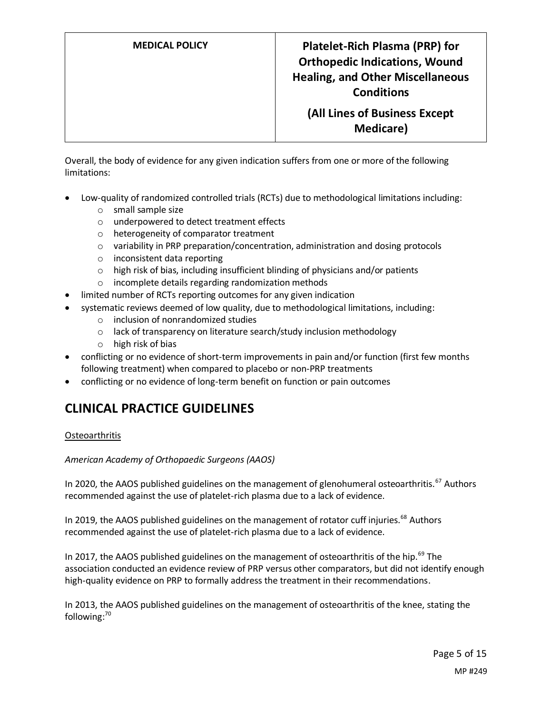**MEDICAL POLICY Platelet-Rich Plasma (PRP) for Orthopedic Indications, Wound Healing, and Other Miscellaneous Conditions**

> **(All Lines of Business Except Medicare)**

Overall, the body of evidence for any given indication suffers from one or more of the following limitations:

- Low-quality of randomized controlled trials (RCTs) due to methodological limitations including:
	- o small sample size
	- o underpowered to detect treatment effects
	- o heterogeneity of comparator treatment
	- o variability in PRP preparation/concentration, administration and dosing protocols
	- o inconsistent data reporting
	- o high risk of bias, including insufficient blinding of physicians and/or patients
	- o incomplete details regarding randomization methods
- limited number of RCTs reporting outcomes for any given indication
- systematic reviews deemed of low quality, due to methodological limitations, including:
	- o inclusion of nonrandomized studies
	- o lack of transparency on literature search/study inclusion methodology
	- o high risk of bias
- conflicting or no evidence of short-term improvements in pain and/or function (first few months following treatment) when compared to placebo or non-PRP treatments
- conflicting or no evidence of long-term benefit on function or pain outcomes

# **CLINICAL PRACTICE GUIDELINES**

#### **Osteoarthritis**

#### *American Academy of Orthopaedic Surgeons (AAOS)*

In 2020, the AAOS published guidelines on the management of glenohumeral osteoarthritis.<sup>67</sup> Authors recommended against the use of platelet-rich plasma due to a lack of evidence.

In 2019, the AAOS published guidelines on the management of rotator cuff injuries.<sup>68</sup> Authors recommended against the use of platelet-rich plasma due to a lack of evidence.

In 2017, the AAOS published guidelines on the management of osteoarthritis of the hip.<sup>69</sup> The association conducted an evidence review of PRP versus other comparators, but did not identify enough high-quality evidence on PRP to formally address the treatment in their recommendations.

In 2013, the AAOS published guidelines on the management of osteoarthritis of the knee, stating the following:<sup>70</sup>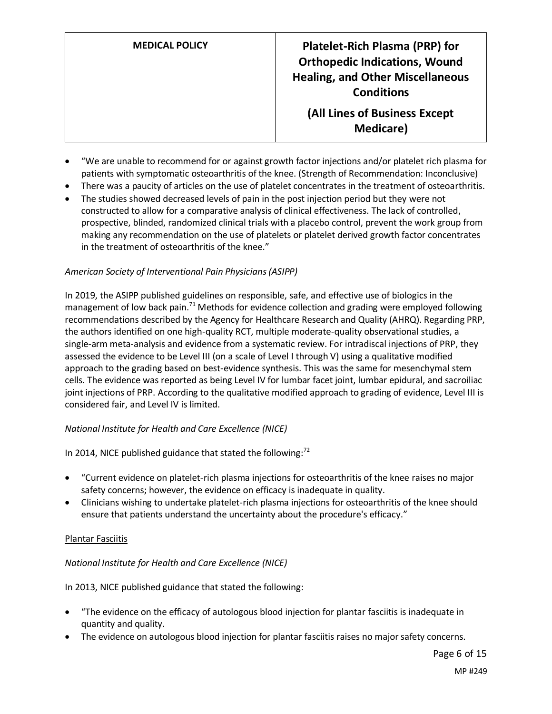- "We are unable to recommend for or against growth factor injections and/or platelet rich plasma for patients with symptomatic osteoarthritis of the knee. (Strength of Recommendation: Inconclusive)
- There was a paucity of articles on the use of platelet concentrates in the treatment of osteoarthritis.
- The studies showed decreased levels of pain in the post injection period but they were not constructed to allow for a comparative analysis of clinical effectiveness. The lack of controlled, prospective, blinded, randomized clinical trials with a placebo control, prevent the work group from making any recommendation on the use of platelets or platelet derived growth factor concentrates in the treatment of osteoarthritis of the knee."

### *American Society of Interventional Pain Physicians (ASIPP)*

In 2019, the ASIPP published guidelines on responsible, safe, and effective use of biologics in the management of low back pain.<sup>71</sup> Methods for evidence collection and grading were employed following recommendations described by the Agency for Healthcare Research and Quality (AHRQ). Regarding PRP, the authors identified on one high-quality RCT, multiple moderate-quality observational studies, a single-arm meta-analysis and evidence from a systematic review. For intradiscal injections of PRP, they assessed the evidence to be Level III (on a scale of Level I through V) using a qualitative modified approach to the grading based on best-evidence synthesis. This was the same for mesenchymal stem cells. The evidence was reported as being Level IV for lumbar facet joint, lumbar epidural, and sacroiliac joint injections of PRP. According to the qualitative modified approach to grading of evidence, Level III is considered fair, and Level IV is limited.

### *National Institute for Health and Care Excellence (NICE)*

In 2014, NICE published guidance that stated the following:<sup>72</sup>

- "Current evidence on platelet-rich plasma injections for osteoarthritis of the knee raises no major safety concerns; however, the evidence on efficacy is inadequate in quality.
- Clinicians wishing to undertake platelet-rich plasma injections for osteoarthritis of the knee should ensure that patients understand the uncertainty about the procedure's efficacy."

### Plantar Fasciitis

### *National Institute for Health and Care Excellence (NICE)*

In 2013, NICE published guidance that stated the following:

- "The evidence on the efficacy of autologous blood injection for plantar fasciitis is inadequate in quantity and quality.
- The evidence on autologous blood injection for plantar fasciitis raises no major safety concerns.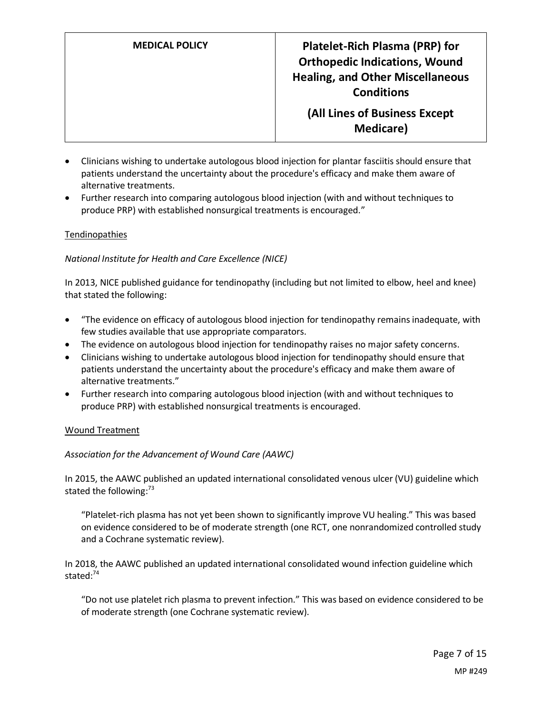- Clinicians wishing to undertake autologous blood injection for plantar fasciitis should ensure that patients understand the uncertainty about the procedure's efficacy and make them aware of alternative treatments.
- Further research into comparing autologous blood injection (with and without techniques to produce PRP) with established nonsurgical treatments is encouraged."

#### Tendinopathies

#### *National Institute for Health and Care Excellence (NICE)*

In 2013, NICE published guidance for tendinopathy (including but not limited to elbow, heel and knee) that stated the following:

- "The evidence on efficacy of autologous blood injection for tendinopathy remains inadequate, with few studies available that use appropriate comparators.
- The evidence on autologous blood injection for tendinopathy raises no major safety concerns.
- Clinicians wishing to undertake autologous blood injection for tendinopathy should ensure that patients understand the uncertainty about the procedure's efficacy and make them aware of alternative treatments."
- Further research into comparing autologous blood injection (with and without techniques to produce PRP) with established nonsurgical treatments is encouraged.

#### Wound Treatment

### *Association for the Advancement of Wound Care (AAWC)*

In 2015, the AAWC published an updated international consolidated venous ulcer (VU) guideline which stated the following: $73$ 

"Platelet-rich plasma has not yet been shown to significantly improve VU healing." This was based on evidence considered to be of moderate strength (one RCT, one nonrandomized controlled study and a Cochrane systematic review).

In 2018, the AAWC published an updated international consolidated wound infection guideline which stated:<sup>74</sup>

"Do not use platelet rich plasma to prevent infection." This was based on evidence considered to be of moderate strength (one Cochrane systematic review).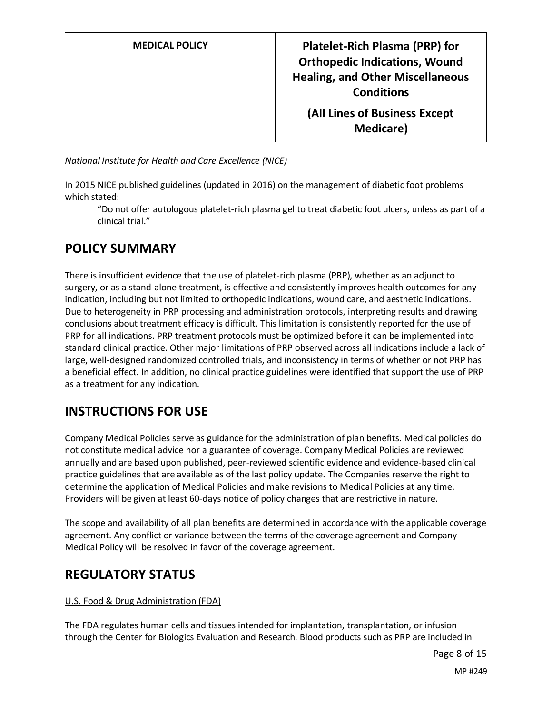| <b>MEDICAL POLICY</b> |  |
|-----------------------|--|
|                       |  |

*National Institute for Health and Care Excellence (NICE)*

In 2015 NICE published guidelines (updated in 2016) on the management of diabetic foot problems which stated:

"Do not offer autologous platelet-rich plasma gel to treat diabetic foot ulcers, unless as part of a clinical trial."

# <span id="page-7-0"></span>**POLICY SUMMARY**

There is insufficient evidence that the use of platelet-rich plasma (PRP), whether as an adjunct to surgery, or as a stand-alone treatment, is effective and consistently improves health outcomes for any indication, including but not limited to orthopedic indications, wound care, and aesthetic indications. Due to heterogeneity in PRP processing and administration protocols, interpreting results and drawing conclusions about treatment efficacy is difficult. This limitation is consistently reported for the use of PRP for all indications. PRP treatment protocols must be optimized before it can be implemented into standard clinical practice. Other major limitations of PRP observed across all indications include a lack of large, well-designed randomized controlled trials, and inconsistency in terms of whether or not PRP has a beneficial effect. In addition, no clinical practice guidelines were identified that support the use of PRP as a treatment for any indication.

# **INSTRUCTIONS FOR USE**

Company Medical Policies serve as guidance for the administration of plan benefits. Medical policies do not constitute medical advice nor a guarantee of coverage. Company Medical Policies are reviewed annually and are based upon published, peer-reviewed scientific evidence and evidence-based clinical practice guidelines that are available as of the last policy update. The Companies reserve the right to determine the application of Medical Policies and make revisions to Medical Policies at any time. Providers will be given at least 60-days notice of policy changes that are restrictive in nature.

The scope and availability of all plan benefits are determined in accordance with the applicable coverage agreement. Any conflict or variance between the terms of the coverage agreement and Company Medical Policy will be resolved in favor of the coverage agreement.

# **REGULATORY STATUS**

### U.S. Food & Drug Administration (FDA)

The FDA regulates human cells and tissues intended for implantation, transplantation, or infusion through the Center for Biologics Evaluation and Research. Blood products such as PRP are included in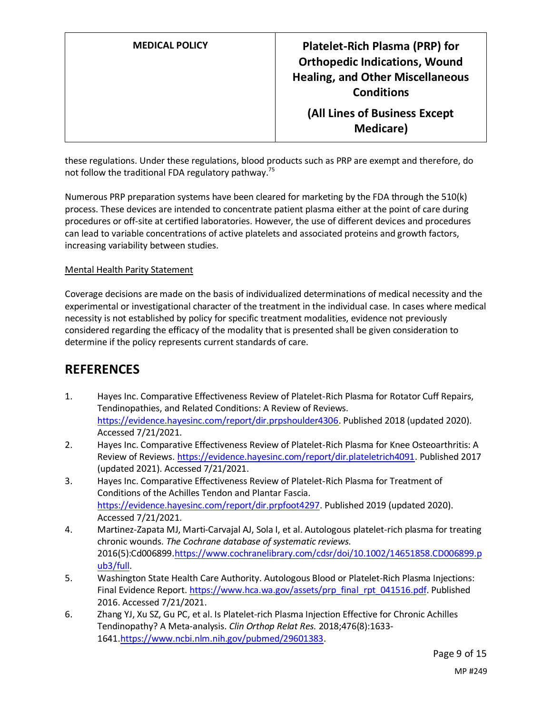**MEDICAL POLICY Platelet-Rich Plasma (PRP) for Orthopedic Indications, Wound Healing, and Other Miscellaneous Conditions**

**(All Lines of Business Except Medicare)**

these regulations. Under these regulations, blood products such as PRP are exempt and therefore, do not follow the traditional FDA regulatory pathway.<sup>75</sup>

Numerous PRP preparation systems have been cleared for marketing by the FDA through the 510(k) process. These devices are intended to concentrate patient plasma either at the point of care during procedures or off-site at certified laboratories. However, the use of different devices and procedures can lead to variable concentrations of active platelets and associated proteins and growth factors, increasing variability between studies.

#### Mental Health Parity Statement

Coverage decisions are made on the basis of individualized determinations of medical necessity and the experimental or investigational character of the treatment in the individual case. In cases where medical necessity is not established by policy for specific treatment modalities, evidence not previously considered regarding the efficacy of the modality that is presented shall be given consideration to determine if the policy represents current standards of care.

## **REFERENCES**

- 1. Hayes Inc. Comparative Effectiveness Review of Platelet-Rich Plasma for Rotator Cuff Repairs, Tendinopathies, and Related Conditions: A Review of Reviews. [https://evidence.hayesinc.com/report/dir.prpshoulder4306.](https://evidence.hayesinc.com/report/dir.prpshoulder4306) Published 2018 (updated 2020). Accessed 7/21/2021.
- 2. Hayes Inc. Comparative Effectiveness Review of Platelet-Rich Plasma for Knee Osteoarthritis: A Review of Reviews[. https://evidence.hayesinc.com/report/dir.plateletrich4091.](https://evidence.hayesinc.com/report/dir.plateletrich4091) Published 2017 (updated 2021). Accessed 7/21/2021.
- 3. Hayes Inc. Comparative Effectiveness Review of Platelet-Rich Plasma for Treatment of Conditions of the Achilles Tendon and Plantar Fascia. [https://evidence.hayesinc.com/report/dir.prpfoot4297.](https://evidence.hayesinc.com/report/dir.prpfoot4297) Published 2019 (updated 2020). Accessed 7/21/2021.
- 4. Martinez-Zapata MJ, Marti-Carvajal AJ, Sola I, et al. Autologous platelet-rich plasma for treating chronic wounds. *The Cochrane database of systematic reviews.*  2016(5):Cd006899[.https://www.cochranelibrary.com/cdsr/doi/10.1002/14651858.CD006899.p](https://www.cochranelibrary.com/cdsr/doi/10.1002/14651858.CD006899.pub3/full) [ub3/full.](https://www.cochranelibrary.com/cdsr/doi/10.1002/14651858.CD006899.pub3/full)
- 5. Washington State Health Care Authority. Autologous Blood or Platelet-Rich Plasma Injections: Final Evidence Report. [https://www.hca.wa.gov/assets/prp\\_final\\_rpt\\_041516.pdf.](https://www.hca.wa.gov/assets/prp_final_rpt_041516.pdf) Published 2016. Accessed 7/21/2021.
- 6. Zhang YJ, Xu SZ, Gu PC, et al. Is Platelet-rich Plasma Injection Effective for Chronic Achilles Tendinopathy? A Meta-analysis. *Clin Orthop Relat Res.* 2018;476(8):1633- 1641[.https://www.ncbi.nlm.nih.gov/pubmed/29601383.](https://www.ncbi.nlm.nih.gov/pubmed/29601383)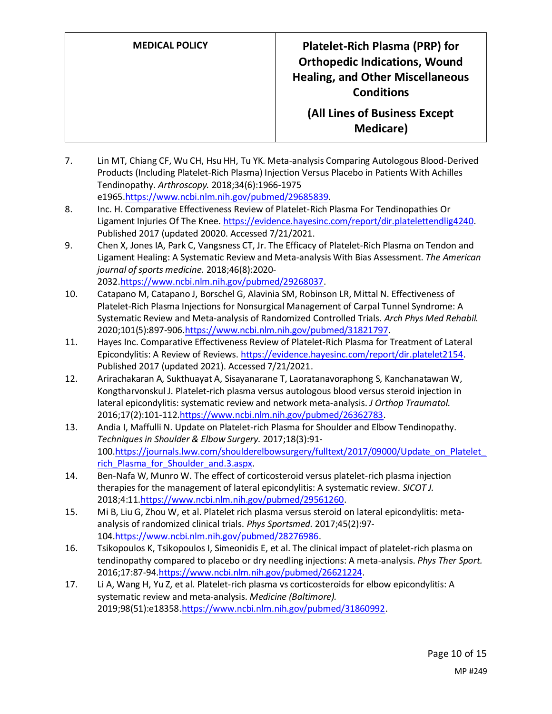- 7. Lin MT, Chiang CF, Wu CH, Hsu HH, Tu YK. Meta-analysis Comparing Autologous Blood-Derived Products (Including Platelet-Rich Plasma) Injection Versus Placebo in Patients With Achilles Tendinopathy. *Arthroscopy.* 2018;34(6):1966-1975 e196[5.https://www.ncbi.nlm.nih.gov/pubmed/29685839.](https://www.ncbi.nlm.nih.gov/pubmed/29685839)
- 8. Inc. H. Comparative Effectiveness Review of Platelet-Rich Plasma For Tendinopathies Or Ligament Injuries Of The Knee[. https://evidence.hayesinc.com/report/dir.platelettendlig4240.](https://evidence.hayesinc.com/report/dir.platelettendlig4240) Published 2017 (updated 20020. Accessed 7/21/2021.
- 9. Chen X, Jones IA, Park C, Vangsness CT, Jr. The Efficacy of Platelet-Rich Plasma on Tendon and Ligament Healing: A Systematic Review and Meta-analysis With Bias Assessment. *The American journal of sports medicine.* 2018;46(8):2020- 2032[.https://www.ncbi.nlm.nih.gov/pubmed/29268037.](https://www.ncbi.nlm.nih.gov/pubmed/29268037)
- 10. Catapano M, Catapano J, Borschel G, Alavinia SM, Robinson LR, Mittal N. Effectiveness of Platelet-Rich Plasma Injections for Nonsurgical Management of Carpal Tunnel Syndrome: A Systematic Review and Meta-analysis of Randomized Controlled Trials. *Arch Phys Med Rehabil.*  2020;101(5):897-90[6.https://www.ncbi.nlm.nih.gov/pubmed/31821797.](https://www.ncbi.nlm.nih.gov/pubmed/31821797)
- 11. Hayes Inc. Comparative Effectiveness Review of Platelet-Rich Plasma for Treatment of Lateral Epicondylitis: A Review of Reviews[. https://evidence.hayesinc.com/report/dir.platelet2154.](https://evidence.hayesinc.com/report/dir.platelet2154) Published 2017 (updated 2021). Accessed 7/21/2021.
- 12. Arirachakaran A, Sukthuayat A, Sisayanarane T, Laoratanavoraphong S, Kanchanatawan W, Kongtharvonskul J. Platelet-rich plasma versus autologous blood versus steroid injection in lateral epicondylitis: systematic review and network meta-analysis. *J Orthop Traumatol.*  2016;17(2):101-112[.https://www.ncbi.nlm.nih.gov/pubmed/26362783.](https://www.ncbi.nlm.nih.gov/pubmed/26362783)
- 13. Andia I, Maffulli N. Update on Platelet-rich Plasma for Shoulder and Elbow Tendinopathy. *Techniques in Shoulder & Elbow Surgery.* 2017;18(3):91- 100[.https://journals.lww.com/shoulderelbowsurgery/fulltext/2017/09000/Update\\_on\\_Platelet\\_](https://journals.lww.com/shoulderelbowsurgery/fulltext/2017/09000/Update_on_Platelet_rich_Plasma_for_Shoulder_and.3.aspx) rich Plasma for Shoulder and.3.aspx.
- 14. Ben-Nafa W, Munro W. The effect of corticosteroid versus platelet-rich plasma injection therapies for the management of lateral epicondylitis: A systematic review. *SICOT J.*  2018;4:1[1.https://www.ncbi.nlm.nih.gov/pubmed/29561260.](https://www.ncbi.nlm.nih.gov/pubmed/29561260)
- 15. Mi B, Liu G, Zhou W, et al. Platelet rich plasma versus steroid on lateral epicondylitis: metaanalysis of randomized clinical trials. *Phys Sportsmed.* 2017;45(2):97- 104[.https://www.ncbi.nlm.nih.gov/pubmed/28276986.](https://www.ncbi.nlm.nih.gov/pubmed/28276986)
- 16. Tsikopoulos K, Tsikopoulos I, Simeonidis E, et al. The clinical impact of platelet-rich plasma on tendinopathy compared to placebo or dry needling injections: A meta-analysis. *Phys Ther Sport.*  2016;17:87-94[.https://www.ncbi.nlm.nih.gov/pubmed/26621224.](https://www.ncbi.nlm.nih.gov/pubmed/26621224)
- 17. Li A, Wang H, Yu Z, et al. Platelet-rich plasma vs corticosteroids for elbow epicondylitis: A systematic review and meta-analysis. *Medicine (Baltimore).*  2019;98(51):e18358[.https://www.ncbi.nlm.nih.gov/pubmed/31860992.](https://www.ncbi.nlm.nih.gov/pubmed/31860992)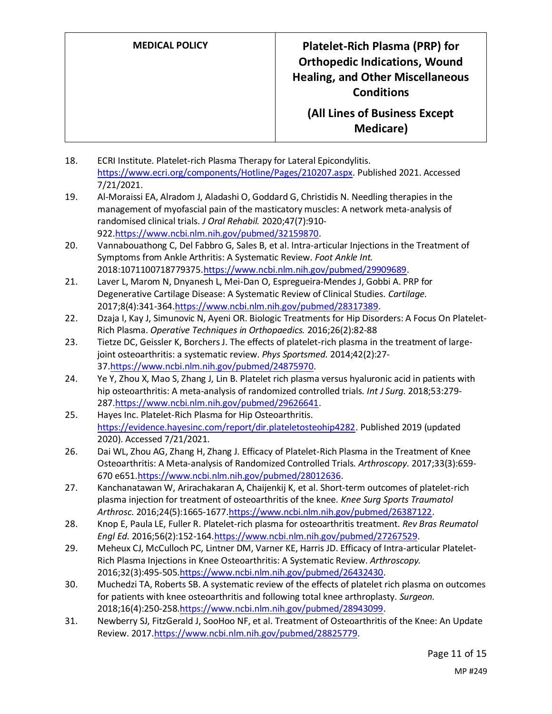- 18. ECRI Institute. Platelet-rich Plasma Therapy for Lateral Epicondylitis. [https://www.ecri.org/components/Hotline/Pages/210207.aspx.](https://www.ecri.org/components/Hotline/Pages/210207.aspx) Published 2021. Accessed 7/21/2021.
- 19. Al-Moraissi EA, Alradom J, Aladashi O, Goddard G, Christidis N. Needling therapies in the management of myofascial pain of the masticatory muscles: A network meta-analysis of randomised clinical trials. *J Oral Rehabil.* 2020;47(7):910- 922[.https://www.ncbi.nlm.nih.gov/pubmed/32159870.](https://www.ncbi.nlm.nih.gov/pubmed/32159870)
- 20. Vannabouathong C, Del Fabbro G, Sales B, et al. Intra-articular Injections in the Treatment of Symptoms from Ankle Arthritis: A Systematic Review. *Foot Ankle Int.*  2018:1071100718779375[.https://www.ncbi.nlm.nih.gov/pubmed/29909689.](https://www.ncbi.nlm.nih.gov/pubmed/29909689)
- 21. Laver L, Marom N, Dnyanesh L, Mei-Dan O, Espregueira-Mendes J, Gobbi A. PRP for Degenerative Cartilage Disease: A Systematic Review of Clinical Studies. *Cartilage.*  2017;8(4):341-36[4.https://www.ncbi.nlm.nih.gov/pubmed/28317389.](https://www.ncbi.nlm.nih.gov/pubmed/28317389)
- 22. Dzaja I, Kay J, Simunovic N, Ayeni OR. Biologic Treatments for Hip Disorders: A Focus On Platelet-Rich Plasma. *Operative Techniques in Orthopaedics.* 2016;26(2):82-88
- 23. Tietze DC, Geissler K, Borchers J. The effects of platelet-rich plasma in the treatment of largejoint osteoarthritis: a systematic review. *Phys Sportsmed.* 2014;42(2):27- 37[.https://www.ncbi.nlm.nih.gov/pubmed/24875970.](https://www.ncbi.nlm.nih.gov/pubmed/24875970)
- 24. Ye Y, Zhou X, Mao S, Zhang J, Lin B. Platelet rich plasma versus hyaluronic acid in patients with hip osteoarthritis: A meta-analysis of randomized controlled trials. *Int J Surg.* 2018;53:279- 287[.https://www.ncbi.nlm.nih.gov/pubmed/29626641.](https://www.ncbi.nlm.nih.gov/pubmed/29626641)
- 25. Hayes Inc. Platelet-Rich Plasma for Hip Osteoarthritis. [https://evidence.hayesinc.com/report/dir.plateletosteohip4282.](https://evidence.hayesinc.com/report/dir.plateletosteohip4282) Published 2019 (updated 2020). Accessed 7/21/2021.
- 26. Dai WL, Zhou AG, Zhang H, Zhang J. Efficacy of Platelet-Rich Plasma in the Treatment of Knee Osteoarthritis: A Meta-analysis of Randomized Controlled Trials. *Arthroscopy.* 2017;33(3):659- 670 e651[.https://www.ncbi.nlm.nih.gov/pubmed/28012636.](https://www.ncbi.nlm.nih.gov/pubmed/28012636)
- 27. Kanchanatawan W, Arirachakaran A, Chaijenkij K, et al. Short-term outcomes of platelet-rich plasma injection for treatment of osteoarthritis of the knee. *Knee Surg Sports Traumatol Arthrosc.* 2016;24(5):1665-1677[.https://www.ncbi.nlm.nih.gov/pubmed/26387122.](https://www.ncbi.nlm.nih.gov/pubmed/26387122)
- 28. Knop E, Paula LE, Fuller R. Platelet-rich plasma for osteoarthritis treatment. *Rev Bras Reumatol Engl Ed.* 2016;56(2):152-164[.https://www.ncbi.nlm.nih.gov/pubmed/27267529.](https://www.ncbi.nlm.nih.gov/pubmed/27267529)
- 29. Meheux CJ, McCulloch PC, Lintner DM, Varner KE, Harris JD. Efficacy of Intra-articular Platelet-Rich Plasma Injections in Knee Osteoarthritis: A Systematic Review. *Arthroscopy.*  2016;32(3):495-505[.https://www.ncbi.nlm.nih.gov/pubmed/26432430.](https://www.ncbi.nlm.nih.gov/pubmed/26432430)
- 30. Muchedzi TA, Roberts SB. A systematic review of the effects of platelet rich plasma on outcomes for patients with knee osteoarthritis and following total knee arthroplasty. *Surgeon.*  2018;16(4):250-258[.https://www.ncbi.nlm.nih.gov/pubmed/28943099.](https://www.ncbi.nlm.nih.gov/pubmed/28943099)
- 31. Newberry SJ, FitzGerald J, SooHoo NF, et al. Treatment of Osteoarthritis of the Knee: An Update Review. 201[7.https://www.ncbi.nlm.nih.gov/pubmed/28825779.](https://www.ncbi.nlm.nih.gov/pubmed/28825779)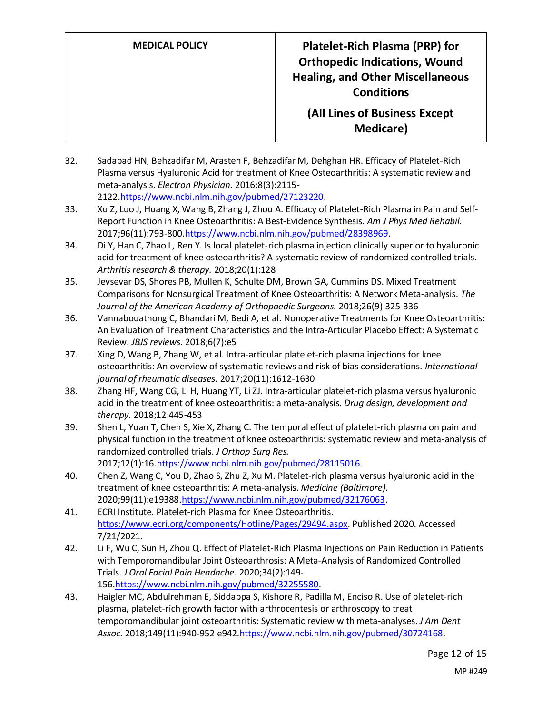- 32. Sadabad HN, Behzadifar M, Arasteh F, Behzadifar M, Dehghan HR. Efficacy of Platelet-Rich Plasma versus Hyaluronic Acid for treatment of Knee Osteoarthritis: A systematic review and meta-analysis. *Electron Physician.* 2016;8(3):2115- 2122[.https://www.ncbi.nlm.nih.gov/pubmed/27123220.](https://www.ncbi.nlm.nih.gov/pubmed/27123220)
- 33. Xu Z, Luo J, Huang X, Wang B, Zhang J, Zhou A. Efficacy of Platelet-Rich Plasma in Pain and Self-Report Function in Knee Osteoarthritis: A Best-Evidence Synthesis. *Am J Phys Med Rehabil.*  2017;96(11):793-80[0.https://www.ncbi.nlm.nih.gov/pubmed/28398969.](https://www.ncbi.nlm.nih.gov/pubmed/28398969)
- 34. Di Y, Han C, Zhao L, Ren Y. Is local platelet-rich plasma injection clinically superior to hyaluronic acid for treatment of knee osteoarthritis? A systematic review of randomized controlled trials. *Arthritis research & therapy.* 2018;20(1):128
- 35. Jevsevar DS, Shores PB, Mullen K, Schulte DM, Brown GA, Cummins DS. Mixed Treatment Comparisons for Nonsurgical Treatment of Knee Osteoarthritis: A Network Meta-analysis. *The Journal of the American Academy of Orthopaedic Surgeons.* 2018;26(9):325-336
- 36. Vannabouathong C, Bhandari M, Bedi A, et al. Nonoperative Treatments for Knee Osteoarthritis: An Evaluation of Treatment Characteristics and the Intra-Articular Placebo Effect: A Systematic Review. *JBJS reviews.* 2018;6(7):e5
- 37. Xing D, Wang B, Zhang W, et al. Intra-articular platelet-rich plasma injections for knee osteoarthritis: An overview of systematic reviews and risk of bias considerations. *International journal of rheumatic diseases.* 2017;20(11):1612-1630
- 38. Zhang HF, Wang CG, Li H, Huang YT, Li ZJ. Intra-articular platelet-rich plasma versus hyaluronic acid in the treatment of knee osteoarthritis: a meta-analysis. *Drug design, development and therapy.* 2018;12:445-453
- 39. Shen L, Yuan T, Chen S, Xie X, Zhang C. The temporal effect of platelet-rich plasma on pain and physical function in the treatment of knee osteoarthritis: systematic review and meta-analysis of randomized controlled trials. *J Orthop Surg Res.*  2017;12(1):16[.https://www.ncbi.nlm.nih.gov/pubmed/28115016.](https://www.ncbi.nlm.nih.gov/pubmed/28115016)
- 40. Chen Z, Wang C, You D, Zhao S, Zhu Z, Xu M. Platelet-rich plasma versus hyaluronic acid in the treatment of knee osteoarthritis: A meta-analysis. *Medicine (Baltimore).*  2020;99(11):e19388[.https://www.ncbi.nlm.nih.gov/pubmed/32176063.](https://www.ncbi.nlm.nih.gov/pubmed/32176063)
- 41. ECRI Institute. Platelet-rich Plasma for Knee Osteoarthritis. [https://www.ecri.org/components/Hotline/Pages/29494.aspx.](https://www.ecri.org/components/Hotline/Pages/29494.aspx) Published 2020. Accessed 7/21/2021.
- 42. Li F, Wu C, Sun H, Zhou Q. Effect of Platelet-Rich Plasma Injections on Pain Reduction in Patients with Temporomandibular Joint Osteoarthrosis: A Meta-Analysis of Randomized Controlled Trials. *J Oral Facial Pain Headache.* 2020;34(2):149- 156[.https://www.ncbi.nlm.nih.gov/pubmed/32255580.](https://www.ncbi.nlm.nih.gov/pubmed/32255580)
- 43. Haigler MC, Abdulrehman E, Siddappa S, Kishore R, Padilla M, Enciso R. Use of platelet-rich plasma, platelet-rich growth factor with arthrocentesis or arthroscopy to treat temporomandibular joint osteoarthritis: Systematic review with meta-analyses. *J Am Dent Assoc.* 2018;149(11):940-952 e94[2.https://www.ncbi.nlm.nih.gov/pubmed/30724168.](https://www.ncbi.nlm.nih.gov/pubmed/30724168)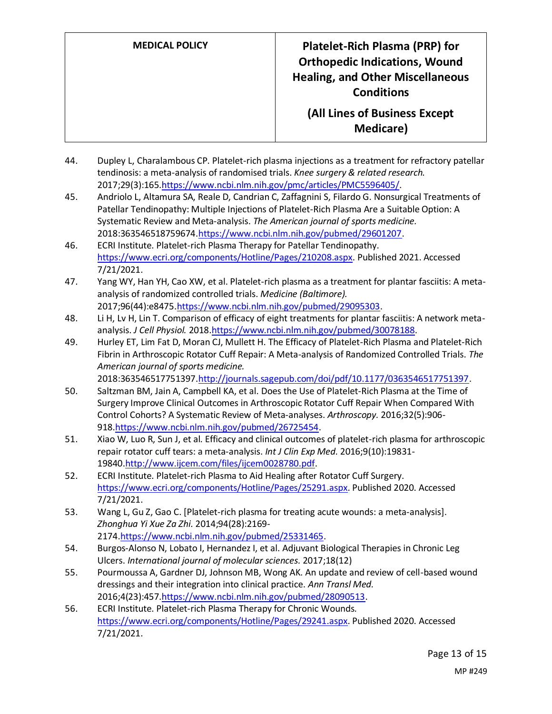- 44. Dupley L, Charalambous CP. Platelet-rich plasma injections as a treatment for refractory patellar tendinosis: a meta-analysis of randomised trials. *Knee surgery & related research.*  2017;29(3):165[.https://www.ncbi.nlm.nih.gov/pmc/articles/PMC5596405/.](https://www.ncbi.nlm.nih.gov/pmc/articles/PMC5596405/)
- 45. Andriolo L, Altamura SA, Reale D, Candrian C, Zaffagnini S, Filardo G. Nonsurgical Treatments of Patellar Tendinopathy: Multiple Injections of Platelet-Rich Plasma Are a Suitable Option: A Systematic Review and Meta-analysis. *The American journal of sports medicine.*  2018:363546518759674[.https://www.ncbi.nlm.nih.gov/pubmed/29601207.](https://www.ncbi.nlm.nih.gov/pubmed/29601207)
- 46. ECRI Institute. Platelet-rich Plasma Therapy for Patellar Tendinopathy. [https://www.ecri.org/components/Hotline/Pages/210208.aspx.](https://www.ecri.org/components/Hotline/Pages/210208.aspx) Published 2021. Accessed 7/21/2021.
- 47. Yang WY, Han YH, Cao XW, et al. Platelet-rich plasma as a treatment for plantar fasciitis: A metaanalysis of randomized controlled trials. *Medicine (Baltimore).*  2017;96(44):e847[5.https://www.ncbi.nlm.nih.gov/pubmed/29095303.](https://www.ncbi.nlm.nih.gov/pubmed/29095303)
- 48. Li H, Lv H, Lin T. Comparison of efficacy of eight treatments for plantar fasciitis: A network metaanalysis. *J Cell Physiol.* 2018[.https://www.ncbi.nlm.nih.gov/pubmed/30078188.](https://www.ncbi.nlm.nih.gov/pubmed/30078188)
- 49. Hurley ET, Lim Fat D, Moran CJ, Mullett H. The Efficacy of Platelet-Rich Plasma and Platelet-Rich Fibrin in Arthroscopic Rotator Cuff Repair: A Meta-analysis of Randomized Controlled Trials. *The American journal of sports medicine.*  2018:363546517751397[.http://journals.sagepub.com/doi/pdf/10.1177/0363546517751397.](http://journals.sagepub.com/doi/pdf/10.1177/0363546517751397)
- 50. Saltzman BM, Jain A, Campbell KA, et al. Does the Use of Platelet-Rich Plasma at the Time of Surgery Improve Clinical Outcomes in Arthroscopic Rotator Cuff Repair When Compared With Control Cohorts? A Systematic Review of Meta-analyses. *Arthroscopy.* 2016;32(5):906- 918[.https://www.ncbi.nlm.nih.gov/pubmed/26725454.](https://www.ncbi.nlm.nih.gov/pubmed/26725454)
- 51. Xiao W, Luo R, Sun J, et al. Efficacy and clinical outcomes of platelet-rich plasma for arthroscopic repair rotator cuff tears: a meta-analysis. *Int J Clin Exp Med.* 2016;9(10):19831- 1984[0.http://www.ijcem.com/files/ijcem0028780.pdf.](http://www.ijcem.com/files/ijcem0028780.pdf)
- 52. ECRI Institute. Platelet-rich Plasma to Aid Healing after Rotator Cuff Surgery. [https://www.ecri.org/components/Hotline/Pages/25291.aspx.](https://www.ecri.org/components/Hotline/Pages/25291.aspx) Published 2020. Accessed 7/21/2021.
- 53. Wang L, Gu Z, Gao C. [Platelet-rich plasma for treating acute wounds: a meta-analysis]. *Zhonghua Yi Xue Za Zhi.* 2014;94(28):2169- 2174[.https://www.ncbi.nlm.nih.gov/pubmed/25331465.](https://www.ncbi.nlm.nih.gov/pubmed/25331465)
- 54. Burgos-Alonso N, Lobato I, Hernandez I, et al. Adjuvant Biological Therapies in Chronic Leg Ulcers. *International journal of molecular sciences.* 2017;18(12)
- 55. Pourmoussa A, Gardner DJ, Johnson MB, Wong AK. An update and review of cell-based wound dressings and their integration into clinical practice. *Ann Transl Med.*  2016;4(23):457[.https://www.ncbi.nlm.nih.gov/pubmed/28090513.](https://www.ncbi.nlm.nih.gov/pubmed/28090513)
- 56. ECRI Institute. Platelet-rich Plasma Therapy for Chronic Wounds. [https://www.ecri.org/components/Hotline/Pages/29241.aspx.](https://www.ecri.org/components/Hotline/Pages/29241.aspx) Published 2020. Accessed 7/21/2021.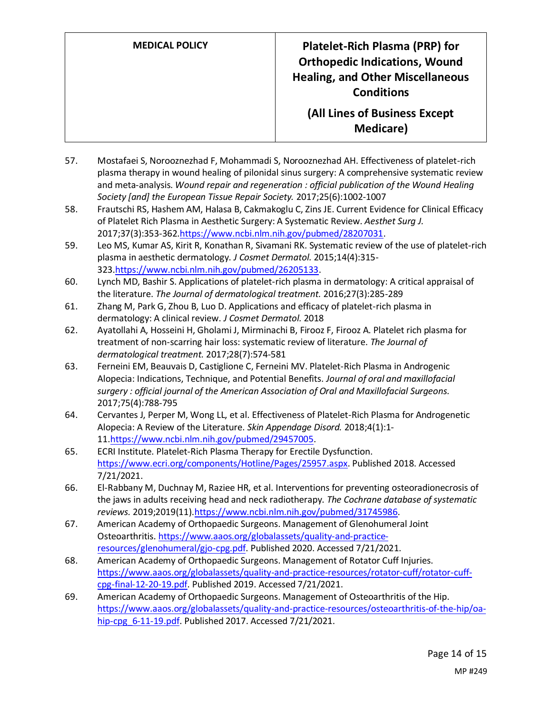**MEDICAL POLICY Platelet-Rich Plasma (PRP) for Orthopedic Indications, Wound Healing, and Other Miscellaneous Conditions (All Lines of Business Except Medicare)**

- 57. Mostafaei S, Norooznezhad F, Mohammadi S, Norooznezhad AH. Effectiveness of platelet-rich plasma therapy in wound healing of pilonidal sinus surgery: A comprehensive systematic review and meta-analysis. *Wound repair and regeneration : official publication of the Wound Healing Society [and] the European Tissue Repair Society.* 2017;25(6):1002-1007
- 58. Frautschi RS, Hashem AM, Halasa B, Cakmakoglu C, Zins JE. Current Evidence for Clinical Efficacy of Platelet Rich Plasma in Aesthetic Surgery: A Systematic Review. *Aesthet Surg J.*  2017;37(3):353-362[.https://www.ncbi.nlm.nih.gov/pubmed/28207031.](https://www.ncbi.nlm.nih.gov/pubmed/28207031)
- 59. Leo MS, Kumar AS, Kirit R, Konathan R, Sivamani RK. Systematic review of the use of platelet-rich plasma in aesthetic dermatology. *J Cosmet Dermatol.* 2015;14(4):315- 323[.https://www.ncbi.nlm.nih.gov/pubmed/26205133.](https://www.ncbi.nlm.nih.gov/pubmed/26205133)
- 60. Lynch MD, Bashir S. Applications of platelet-rich plasma in dermatology: A critical appraisal of the literature. *The Journal of dermatological treatment.* 2016;27(3):285-289
- 61. Zhang M, Park G, Zhou B, Luo D. Applications and efficacy of platelet-rich plasma in dermatology: A clinical review. *J Cosmet Dermatol.* 2018
- 62. Ayatollahi A, Hosseini H, Gholami J, Mirminachi B, Firooz F, Firooz A. Platelet rich plasma for treatment of non-scarring hair loss: systematic review of literature. *The Journal of dermatological treatment.* 2017;28(7):574-581
- 63. Ferneini EM, Beauvais D, Castiglione C, Ferneini MV. Platelet-Rich Plasma in Androgenic Alopecia: Indications, Technique, and Potential Benefits. *Journal of oral and maxillofacial surgery : official journal of the American Association of Oral and Maxillofacial Surgeons.*  2017;75(4):788-795
- 64. Cervantes J, Perper M, Wong LL, et al. Effectiveness of Platelet-Rich Plasma for Androgenetic Alopecia: A Review of the Literature. *Skin Appendage Disord.* 2018;4(1):1- 11[.https://www.ncbi.nlm.nih.gov/pubmed/29457005.](https://www.ncbi.nlm.nih.gov/pubmed/29457005)
- 65. ECRI Institute. Platelet-Rich Plasma Therapy for Erectile Dysfunction. [https://www.ecri.org/components/Hotline/Pages/25957.aspx.](https://www.ecri.org/components/Hotline/Pages/25957.aspx) Published 2018. Accessed 7/21/2021.
- 66. El-Rabbany M, Duchnay M, Raziee HR, et al. Interventions for preventing osteoradionecrosis of the jaws in adults receiving head and neck radiotherapy. *The Cochrane database of systematic reviews.* 2019;2019(11)[.https://www.ncbi.nlm.nih.gov/pubmed/31745986.](https://www.ncbi.nlm.nih.gov/pubmed/31745986)
- 67. American Academy of Orthopaedic Surgeons. Management of Glenohumeral Joint Osteoarthritis[. https://www.aaos.org/globalassets/quality-and-practice](https://www.aaos.org/globalassets/quality-and-practice-resources/glenohumeral/gjo-cpg.pdf)[resources/glenohumeral/gjo-cpg.pdf.](https://www.aaos.org/globalassets/quality-and-practice-resources/glenohumeral/gjo-cpg.pdf) Published 2020. Accessed 7/21/2021.
- 68. American Academy of Orthopaedic Surgeons. Management of Rotator Cuff Injuries. [https://www.aaos.org/globalassets/quality-and-practice-resources/rotator-cuff/rotator-cuff](https://www.aaos.org/globalassets/quality-and-practice-resources/rotator-cuff/rotator-cuff-cpg-final-12-20-19.pdf)[cpg-final-12-20-19.pdf.](https://www.aaos.org/globalassets/quality-and-practice-resources/rotator-cuff/rotator-cuff-cpg-final-12-20-19.pdf) Published 2019. Accessed 7/21/2021.
- 69. American Academy of Orthopaedic Surgeons. Management of Osteoarthritis of the Hip. [https://www.aaos.org/globalassets/quality-and-practice-resources/osteoarthritis-of-the-hip/oa](https://www.aaos.org/globalassets/quality-and-practice-resources/osteoarthritis-of-the-hip/oa-hip-cpg_6-11-19.pdf)hip-cpg 6-11-19.pdf. Published 2017. Accessed 7/21/2021.